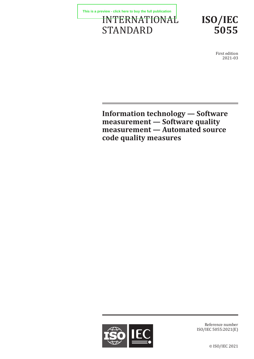

**ISO/IEC 5055**

> First edition 2021-03

**Information technology — Software measurement — Software quality measurement — Automated source code quality measures**



Reference number ISO/IEC 5055:2021(E)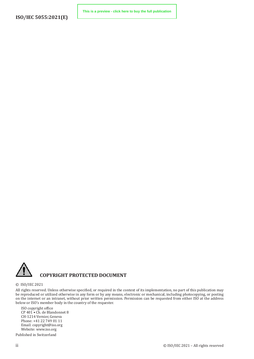

### **COPYRIGHT PROTECTED DOCUMENT**

© ISO/IEC 2021

All rights reserved. Unless otherwise specified, or required in the context of its implementation, no part of this publication may be reproduced or utilized otherwise in any form or by any means, electronic or mechanical, including photocopying, or posting on the internet or an intranet, without prior written permission. Permission can be requested from either ISO at the address below or ISO's member body in the country of the requester.

ISO copyright office CP 401 • Ch. de Blandonnet 8 CH-1214 Vernier, Geneva Phone: +41 22 749 01 11 Email: copyright@iso.org Website: www.iso.org

Published in Switzerland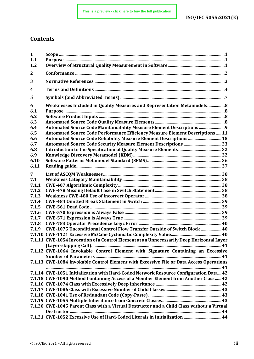# **Contents**

| $\mathbf{1}$<br>1.1<br>1.2 |                                                                                            |
|----------------------------|--------------------------------------------------------------------------------------------|
| $\mathbf{2}$               |                                                                                            |
| 3                          |                                                                                            |
| $\overline{\mathbf{4}}$    |                                                                                            |
| 5                          |                                                                                            |
| 6<br>6.1<br>6.2            | Weaknesses Included in Quality Measures and Representation Metamodels 8                    |
| 6.3                        |                                                                                            |
| 6.4                        | Automated Source Code Maintainability Measure Element Descriptions 9                       |
| 6.5                        | Automated Source Code Performance Efficiency Measure Element Descriptions  11              |
| 6.6                        | Automated Source Code Reliability Measure Element Descriptions  15                         |
| 6.7                        |                                                                                            |
| 6.8                        |                                                                                            |
| 6.9<br>6.10                |                                                                                            |
| 6.11                       |                                                                                            |
|                            |                                                                                            |
| 7                          |                                                                                            |
| 7.1                        |                                                                                            |
| 7.1.1                      |                                                                                            |
| 7.1.2<br>7.1.3             |                                                                                            |
| 7.1.4                      |                                                                                            |
| 7.1.5                      |                                                                                            |
| 7.1.6                      |                                                                                            |
| 7.1.7                      |                                                                                            |
| 7.1.8                      |                                                                                            |
| 7.1.9                      | CWE-1075 Unconditional Control Flow Transfer Outside of Switch Block  40                   |
|                            |                                                                                            |
|                            | 7.1.11 CWE-1054 Invocation of a Control Element at an Unnecessarily Deep Horizontal Layer  |
|                            | 7.1.12 CWE-1064 Invokable Control Element with Signature Containing an Excessive           |
|                            |                                                                                            |
|                            | 7.1.13 CWE-1084 Invokable Control Element with Excessive File or Data Access Operations    |
|                            | 7.1.14 CWE-1051 Initialization with Hard-Coded Network Resource Configuration Data 42      |
|                            | 7.1.15 CWE-1090 Method Containing Access of a Member Element from Another Class 42         |
|                            |                                                                                            |
|                            |                                                                                            |
|                            |                                                                                            |
|                            |                                                                                            |
|                            | 7.1.20 CWE-1045 Parent Class with a Virtual Destructor and a Child Class without a Virtual |
|                            |                                                                                            |
|                            | 7.1.21 CWE-1052 Excessive Use of Hard-Coded Literals in Initialization  44                 |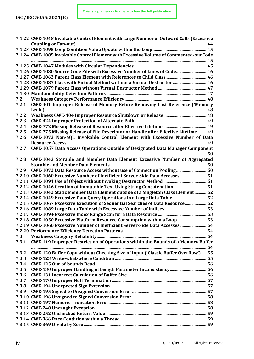|                | 7.1.22 CWE-1048 Invokable Control Element with Large Number of Outward Calls (Excessive |  |
|----------------|-----------------------------------------------------------------------------------------|--|
|                |                                                                                         |  |
|                |                                                                                         |  |
|                | 7.1.24 CWE-1085 Invokable Control Element with Excessive Volume of Commented-out Code   |  |
|                |                                                                                         |  |
|                | 7.1.26 CWE-1080 Source Code File with Excessive Number of Lines of Code 46              |  |
|                |                                                                                         |  |
|                | 7.1.28 CWE-1087 Class with Virtual Method without a Virtual Destructor  46              |  |
|                |                                                                                         |  |
|                |                                                                                         |  |
| 7.2            |                                                                                         |  |
| 7.2.1          |                                                                                         |  |
|                | CWE-401 Improper Release of Memory Before Removing Last Reference ('Memory              |  |
|                |                                                                                         |  |
| 7.2.2          |                                                                                         |  |
| 7.2.3          |                                                                                         |  |
| 7.2.4          |                                                                                         |  |
| 7.2.5          | CWE-775 Missing Release of File Descriptor or Handle after Effective Lifetime  49       |  |
| 7.2.6          | CWE-1073 Non-SQL Invokable Control Element with Excessive Number of Data                |  |
|                |                                                                                         |  |
| 7.2.7          | <b>CWE-1057 Data Access Operations Outside of Designated Data Manager Component</b>     |  |
|                |                                                                                         |  |
| 7.2.8          | CWE-1043 Storable and Member Data Element Excessive Number of Aggregated                |  |
|                |                                                                                         |  |
| 7.2.9          | CWE-1072 Data Resource Access without use of Connection Pooling50                       |  |
|                | 7.2.10 CWE-1060 Excessive Number of Inefficient Server-Side Data Accesses51             |  |
|                |                                                                                         |  |
|                | 7.2.12 CWE-1046 Creation of Immutable Text Using String Concatenation 51                |  |
|                | 7.2.13 CWE-1042 Static Member Data Element outside of a Singleton Class Element 52      |  |
|                | 7.2.14 CWE-1049 Excessive Data Query Operations in a Large Data Table 52                |  |
|                | 7.2.15 CWE-1067 Excessive Execution of Sequential Searches of Data Resource52           |  |
|                |                                                                                         |  |
|                |                                                                                         |  |
|                | 7.2.18 CWE-1050 Excessive Platform Resource Consumption within a Loop53                 |  |
|                | 7.2.19 CWE-1060 Excessive Number of Inefficient Server-Side Data Accesses54             |  |
|                |                                                                                         |  |
| 7.3            |                                                                                         |  |
| 7.3.1          | <b>CWE-119 Improper Restriction of Operations within the Bounds of a Memory Buffer</b>  |  |
| 7.3.2          | CWE-120 Buffer Copy without Checking Size of Input ('Classic Buffer Overflow')55        |  |
|                |                                                                                         |  |
| 7.3.3<br>7.3.4 |                                                                                         |  |
|                |                                                                                         |  |
| 7.3.5          | CWE-130 Improper Handling of Length Parameter Inconsistency56                           |  |
| 7.3.6          |                                                                                         |  |
| 7.3.7          |                                                                                         |  |
| 7.3.8          |                                                                                         |  |
| 7.3.9          |                                                                                         |  |
|                |                                                                                         |  |
|                |                                                                                         |  |
|                |                                                                                         |  |
|                |                                                                                         |  |
|                |                                                                                         |  |
|                |                                                                                         |  |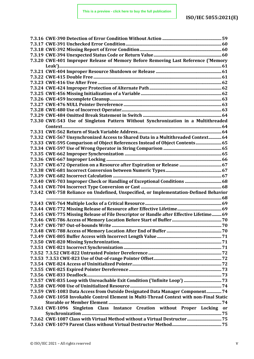| 7.3.20 CWE-401 Improper Release of Memory Before Removing Last Reference ('Memory       |  |
|-----------------------------------------------------------------------------------------|--|
|                                                                                         |  |
|                                                                                         |  |
|                                                                                         |  |
|                                                                                         |  |
|                                                                                         |  |
|                                                                                         |  |
|                                                                                         |  |
|                                                                                         |  |
|                                                                                         |  |
|                                                                                         |  |
| 7.3.30 CWE-543 Use of Singleton Pattern Without Synchronization in a Multithreaded      |  |
|                                                                                         |  |
|                                                                                         |  |
| 7.3.32 CWE-567 Unsynchronized Access to Shared Data in a Multithreaded Context 64       |  |
| 7.3.33 CWE-595 Comparison of Object References Instead of Object Contents 65            |  |
|                                                                                         |  |
|                                                                                         |  |
|                                                                                         |  |
|                                                                                         |  |
|                                                                                         |  |
|                                                                                         |  |
|                                                                                         |  |
| 7.3.40 CWE-703 Improper Check or Handling of Exceptional Conditions  68                 |  |
|                                                                                         |  |
| 7.3.42 CWE-758 Reliance on Undefined, Unspecified, or Implementation-Defined Behavior   |  |
|                                                                                         |  |
|                                                                                         |  |
| 7.3.45 CWE-775 Missing Release of File Descriptor or Handle after Effective Lifetime 69 |  |
|                                                                                         |  |
|                                                                                         |  |
|                                                                                         |  |
|                                                                                         |  |
|                                                                                         |  |
|                                                                                         |  |
|                                                                                         |  |
|                                                                                         |  |
|                                                                                         |  |
|                                                                                         |  |
|                                                                                         |  |
|                                                                                         |  |
|                                                                                         |  |
|                                                                                         |  |
| 7.3.59 CWE-1083 Data Access from Outside Designated Data Manager Component 74           |  |
| 7.3.60 CWE-1058 Invokable Control Element in Multi-Thread Context with non-Final Static |  |
|                                                                                         |  |
| Singleton Class Instance Creation without Proper Locking or<br>7.3.61 CWE-1096          |  |
|                                                                                         |  |
|                                                                                         |  |
|                                                                                         |  |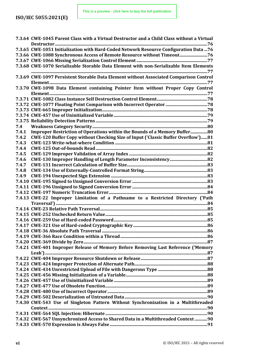|       | 7.3.64 CWE-1045 Parent Class with a Virtual Destructor and a Child Class without a Virtual |  |
|-------|--------------------------------------------------------------------------------------------|--|
|       |                                                                                            |  |
|       | 7.3.65 CWE-1051 Initialization with Hard-Coded Network Resource Configuration Data  76     |  |
|       | 7.3.66 CWE-1088 Synchronous Access of Remote Resource without Timeout76                    |  |
|       |                                                                                            |  |
|       | 7.3.68 CWE-1070 Serializable Storable Data Element with non-Serializable Item Elements     |  |
|       | 7.3.69 CWE-1097 Persistent Storable Data Element without Associated Comparison Control     |  |
|       | 7.3.70 CWE-1098 Data Element containing Pointer Item without Proper Copy Control           |  |
|       |                                                                                            |  |
|       |                                                                                            |  |
|       |                                                                                            |  |
|       |                                                                                            |  |
|       |                                                                                            |  |
|       |                                                                                            |  |
| 7.4   |                                                                                            |  |
| 7.4.1 | Improper Restriction of Operations within the Bounds of a Memory Buffer80                  |  |
| 7.4.2 | CWE-120 Buffer Copy without Checking Size of Input ('Classic Buffer Overflow')81           |  |
| 7.4.3 |                                                                                            |  |
| 7.4.4 |                                                                                            |  |
| 7.4.5 |                                                                                            |  |
| 7.4.6 |                                                                                            |  |
| 7.4.7 |                                                                                            |  |
| 7.4.8 |                                                                                            |  |
| 7.4.9 |                                                                                            |  |
|       |                                                                                            |  |
|       |                                                                                            |  |
|       |                                                                                            |  |
|       | 7.4.13 CWE-22 Improper Limitation of a Pathname to a Restricted Directory ('Path           |  |
|       |                                                                                            |  |
|       |                                                                                            |  |
|       |                                                                                            |  |
|       |                                                                                            |  |
|       |                                                                                            |  |
|       |                                                                                            |  |
|       |                                                                                            |  |
|       |                                                                                            |  |
|       | 7.4.21 CWE-401 Improper Release of Memory Before Removing Last Reference ('Memory          |  |
|       |                                                                                            |  |
|       |                                                                                            |  |
|       |                                                                                            |  |
|       |                                                                                            |  |
|       |                                                                                            |  |
|       |                                                                                            |  |
|       |                                                                                            |  |
|       |                                                                                            |  |
|       |                                                                                            |  |
|       | 7.4.30 CWE-543 Use of Singleton Pattern Without Synchronization in a Multithreaded         |  |
|       |                                                                                            |  |
|       |                                                                                            |  |
|       | 7.4.32 CWE-567 Unsynchronized Access to Shared Data in a Multithreaded Context 90          |  |
|       |                                                                                            |  |
|       |                                                                                            |  |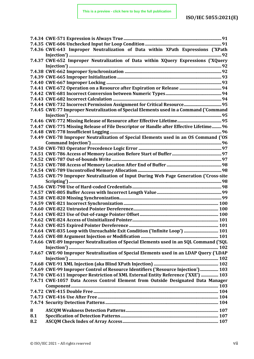|     | 7.4.36 CWE-643 Improper Neutralization of Data within XPath Expressions ('XPath         |  |
|-----|-----------------------------------------------------------------------------------------|--|
|     |                                                                                         |  |
|     | 7.4.37 CWE-652 Improper Neutralization of Data within XQuery Expressions ('XQuery       |  |
|     |                                                                                         |  |
|     |                                                                                         |  |
|     |                                                                                         |  |
|     |                                                                                         |  |
|     |                                                                                         |  |
|     |                                                                                         |  |
|     |                                                                                         |  |
|     |                                                                                         |  |
|     |                                                                                         |  |
|     | 7.4.45 CWE-77 Improper Neutralization of Special Elements used in a Command ('Command   |  |
|     |                                                                                         |  |
|     |                                                                                         |  |
|     | 7.4.47 CWE-775 Missing Release of File Descriptor or Handle after Effective Lifetime 96 |  |
|     |                                                                                         |  |
|     | 7.4.49 CWE-78 Improper Neutralization of Special Elements used in an OS Command ('OS    |  |
|     |                                                                                         |  |
|     |                                                                                         |  |
|     |                                                                                         |  |
|     |                                                                                         |  |
|     |                                                                                         |  |
|     |                                                                                         |  |
|     | 7.4.55 CWE-79 Improper Neutralization of Input During Web Page Generation ('Cross-site  |  |
|     |                                                                                         |  |
|     |                                                                                         |  |
|     |                                                                                         |  |
|     |                                                                                         |  |
|     |                                                                                         |  |
|     |                                                                                         |  |
|     |                                                                                         |  |
|     |                                                                                         |  |
|     |                                                                                         |  |
|     |                                                                                         |  |
|     | 7.4.64 CWE-835 Loop with Unreachable Exit Condition ('Infinite Loop')  101              |  |
|     |                                                                                         |  |
|     | 7.4.66 CWE-89 Improper Neutralization of Special Elements used in an SQL Command ('SQL  |  |
|     |                                                                                         |  |
|     | 7.4.67 CWE-90 Improper Neutralization of Special Elements used in an LDAP Query ('LDAP  |  |
|     |                                                                                         |  |
|     |                                                                                         |  |
|     | 7.4.69 CWE-99 Improper Control of Resource Identifiers ('Resource Injection')  103      |  |
|     | 7.4.70 CWE-611 Improper Restriction of XML External Entity Reference ('XXE')  103       |  |
|     | 7.4.71 CWE-1057 Data Access Control Element from Outside Designated Data Manager        |  |
|     |                                                                                         |  |
|     |                                                                                         |  |
|     |                                                                                         |  |
|     |                                                                                         |  |
|     |                                                                                         |  |
| 8   |                                                                                         |  |
| 8.1 |                                                                                         |  |
| 8.2 |                                                                                         |  |
|     |                                                                                         |  |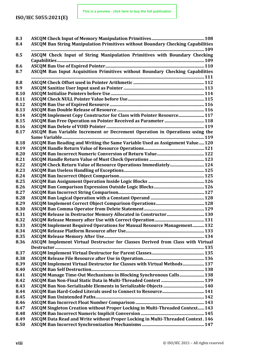| 8.3  |                                                                                        |  |
|------|----------------------------------------------------------------------------------------|--|
| 8.4  | <b>ASCQM Ban String Manipulation Primitives without Boundary Checking Capabilities</b> |  |
| 8.5  | ASCQM Check Input of String Manipulation Primitives with Boundary Checking             |  |
| 8.6  |                                                                                        |  |
| 8.7  | ASCQM Ban Input Acquisition Primitives without Boundary Checking Capabilities          |  |
| 8.8  |                                                                                        |  |
| 8.9  |                                                                                        |  |
| 8.10 |                                                                                        |  |
| 8.11 |                                                                                        |  |
| 8.12 |                                                                                        |  |
| 8.13 |                                                                                        |  |
| 8.14 | ASCQM Implement Copy Constructor for Class with Pointer Resource 117                   |  |
| 8.15 |                                                                                        |  |
| 8.16 |                                                                                        |  |
| 8.17 | ASCQM Ban Variable Increment or Decrement Operation in Operations using the            |  |
|      |                                                                                        |  |
| 8.18 | ASCQM Ban Reading and Writing the Same Variable Used as Assignment Value 120           |  |
| 8.19 |                                                                                        |  |
| 8.20 |                                                                                        |  |
| 8.21 |                                                                                        |  |
| 8.22 | ASCQM Check Return Value of Resource Operations Immediately 124                        |  |
| 8.23 |                                                                                        |  |
| 8.24 |                                                                                        |  |
| 8.25 |                                                                                        |  |
| 8.26 |                                                                                        |  |
| 8.27 |                                                                                        |  |
| 8.28 |                                                                                        |  |
| 8.29 |                                                                                        |  |
| 8.30 |                                                                                        |  |
| 8.31 |                                                                                        |  |
| 8.32 |                                                                                        |  |
| 8.33 | ASCOM Implement Required Operations for Manual Resource Management 132                 |  |
| 8.34 |                                                                                        |  |
| 8.35 |                                                                                        |  |
| 8.36 | ASCQM Implement Virtual Destructor for Classes Derived from Class with Virtual         |  |
| 8.37 |                                                                                        |  |
| 8.38 |                                                                                        |  |
| 8.39 | ASCQM Implement Virtual Destructor for Classes with Virtual Methods 137                |  |
| 8.40 |                                                                                        |  |
| 8.41 | ASCQM Manage Time-Out Mechanisms in Blocking Synchronous Calls 138                     |  |
| 8.42 |                                                                                        |  |
| 8.43 |                                                                                        |  |
| 8.44 |                                                                                        |  |
| 8.45 |                                                                                        |  |
| 8.46 |                                                                                        |  |
| 8.47 | ASCQM Singleton Creation without Proper Locking in Multi-Threaded Context 143          |  |
| 8.48 |                                                                                        |  |
| 8.49 | ASCQM Data Read and Write without Proper Locking in Multi-Threaded Context. 146        |  |
| 8.50 |                                                                                        |  |
|      |                                                                                        |  |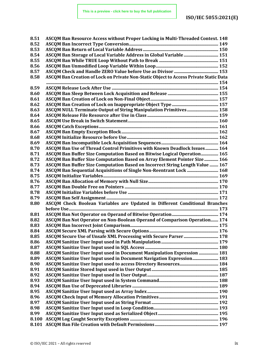| 8.51  | ASCQM Ban Resource Access without Proper Locking in Multi-Threaded Context. 148       |  |
|-------|---------------------------------------------------------------------------------------|--|
| 8.52  |                                                                                       |  |
| 8.53  |                                                                                       |  |
| 8.54  | ASCQM Ban Storage of Local Variable Address in Global Variable  151                   |  |
| 8.55  |                                                                                       |  |
| 8.56  |                                                                                       |  |
| 8.57  |                                                                                       |  |
| 8.58  | ASCQM Ban Creation of Lock on Private Non-Static Object to Access Private Static Data |  |
|       |                                                                                       |  |
| 8.59  |                                                                                       |  |
| 8.60  |                                                                                       |  |
| 8.61  |                                                                                       |  |
| 8.62  |                                                                                       |  |
| 8.63  | ASCQM NULL Terminate Output of String Manipulation Primitives 158                     |  |
| 8.64  |                                                                                       |  |
| 8.65  |                                                                                       |  |
| 8.66  |                                                                                       |  |
| 8.67  |                                                                                       |  |
| 8.68  |                                                                                       |  |
| 8.69  |                                                                                       |  |
| 8.70  | ASCQM Ban Use of Thread Control Primitives with Known Deadlock Issues 164             |  |
| 8.71  | ASCQM Ban Buffer Size Computation Based on Bitwise Logical Operation 165              |  |
| 8.72  | ASCQM Ban Buffer Size Computation Based on Array Element Pointer Size  166            |  |
| 8.73  | ASCQM Ban Buffer Size Computation Based on Incorrect String Length Value  167         |  |
| 8.74  | ASCQM Ban Sequential Acquisitions of Single Non-Reentrant Lock  168                   |  |
| 8.75  |                                                                                       |  |
| 8.76  |                                                                                       |  |
| 8.77  |                                                                                       |  |
| 8.78  |                                                                                       |  |
| 8.79  |                                                                                       |  |
| 8.80  | ASCQM Check Boolean Variables are Updated in Different Conditional Branches           |  |
|       |                                                                                       |  |
| 8.81  |                                                                                       |  |
| 8.82  | ASCQM Ban Not Operator on Non-Boolean Operand of Comparison Operation 174             |  |
| 8.83  |                                                                                       |  |
| 8.84  |                                                                                       |  |
| 8.85  |                                                                                       |  |
| 8.86  |                                                                                       |  |
| 8.87  |                                                                                       |  |
| 8.88  | ASCQM Sanitize User Input used in Document Manipulation Expression  181               |  |
| 8.89  | ASCQM Sanitize User Input used in Document Navigation Expression 183                  |  |
| 8.90  |                                                                                       |  |
| 8.91  |                                                                                       |  |
| 8.92  |                                                                                       |  |
| 8.93  |                                                                                       |  |
| 8.94  |                                                                                       |  |
| 8.95  |                                                                                       |  |
| 8.96  |                                                                                       |  |
| 8.97  |                                                                                       |  |
| 8.98  |                                                                                       |  |
| 8.99  |                                                                                       |  |
| 8.100 |                                                                                       |  |
| 8.101 |                                                                                       |  |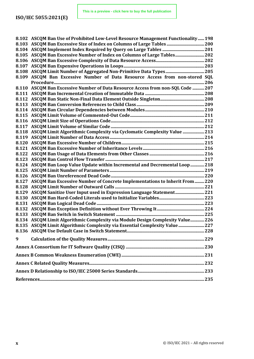|   | 8.102 ASCQM Ban Use of Prohibited Low-Level Resource Management Functionality 198 |  |
|---|-----------------------------------------------------------------------------------|--|
|   |                                                                                   |  |
|   |                                                                                   |  |
|   | 8.105 ASCQM Ban Excessive Number of Index on Columns of Large Tables 202          |  |
|   |                                                                                   |  |
|   |                                                                                   |  |
|   |                                                                                   |  |
|   | 8.109 ASCQM Ban Excessive Number of Data Resource Access from non-stored SQL      |  |
|   |                                                                                   |  |
|   | 8.110 ASCQM Ban Excessive Number of Data Resource Access from non-SQL Code  207   |  |
|   |                                                                                   |  |
|   |                                                                                   |  |
|   |                                                                                   |  |
|   |                                                                                   |  |
|   |                                                                                   |  |
|   |                                                                                   |  |
|   |                                                                                   |  |
|   | 8.118 ASCQM Limit Algorithmic Complexity via Cyclomatic Complexity Value  213     |  |
|   |                                                                                   |  |
|   |                                                                                   |  |
|   |                                                                                   |  |
|   |                                                                                   |  |
|   |                                                                                   |  |
|   | 8.124 ASCQM Ban Loop Value Update within Incremental and Decremental Loop 218     |  |
|   |                                                                                   |  |
|   |                                                                                   |  |
|   | 8.127 ASCQM Ban Excessive Number of Concrete Implementations to Inherit From  220 |  |
|   |                                                                                   |  |
|   | 8.129 ASCQM Sanitize User Input used in Expression Language Statement 221         |  |
|   |                                                                                   |  |
|   |                                                                                   |  |
|   |                                                                                   |  |
|   |                                                                                   |  |
|   | 8.134 ASCQM Limit Algorithmic Complexity via Module Design Complexity Value 226   |  |
|   | 8.135 ASCQM Limit Algorithmic Complexity via Essential Complexity Value  227      |  |
|   |                                                                                   |  |
| 9 |                                                                                   |  |
|   |                                                                                   |  |
|   |                                                                                   |  |
|   |                                                                                   |  |
|   |                                                                                   |  |
|   |                                                                                   |  |
|   |                                                                                   |  |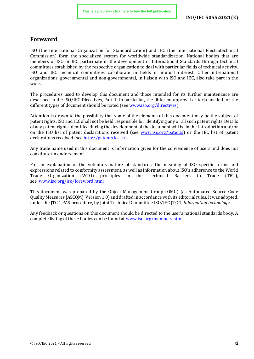## **Foreword**

ISO (the International Organization for Standardization) and IEC (the International Electrotechnical Commission) form the specialized system for worldwide standardization. National bodies that are members of ISO or IEC participate in the development of International Standards through technical committees established by the respective organization to deal with particular fields of technical activity. ISO and IEC technical committees collaborate in fields of mutual interest. Other international organizations, governmental and non-governmental, in liaison with ISO and IEC, also take part in the work.

The procedures used to develop this document and those intended for its further maintenance are described in the ISO/IEC Directives, Part 1. In particular, the different approval criteria needed for the different types of document should be noted (see [www.iso.org/directives\)](https://www.iso.org/directives-and-policies.html).

Attention is drawn to the possibility that some of the elements of this document may be the subject of patent rights. ISO and IEC shall not be held responsible for identifying any or all such patent rights. Details of any patent rights identified during the development of the document will be in the Introduction and/or on the ISO list of patent declarations received (see [www.iso.org/patents\)](https://www.iso.org/iso-standards-and-patents.html) or the IEC list of patent declarations received (see [http://patents.iec.ch\)](http://patents.iec.ch/).

Any trade name used in this document is information given for the convenience of users and does not constitute an endorsement.

For an explanation of the voluntary nature of standards, the meaning of ISO specific terms and expressions related to conformity assessment, as well as information about ISO's adherence to the World Trade Organization (WTO) principles in the Technical Barriers to Trade (TBT), see [www.iso.org/iso/foreword.html.](http://www.iso.org/iso/foreword.html)

This document was prepared by the Object Management Group (OMG) (as Automated Source Code Quality Measures [ASCQM], Version 1.0) and drafted in accordance with its editorial rules. It was adopted, under the JTC 1 PAS procedure, by Joint Technical Committee ISO/IEC JTC 1, *Information technology*.

Any feedback or questions on this document should be directed to the user's national standards body. A complete listing of these bodies can be found at [www.iso.org/members.html.](https://www.iso.org/members.html)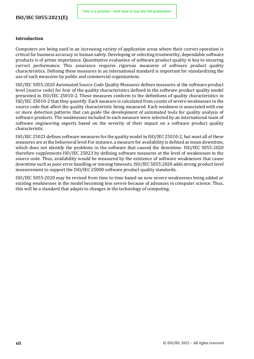#### **Introduction**

Computers are being used in an increasing variety of application areas where their correct operation is critical for business accuracy or human safety. Developing or selecting trustworthy, dependable software products is of prime importance. Quantitative evaluation of software product quality is key to ensuring correct performance. This assurance requires rigorous measures of software product quality characteristics. Defining these measures in an international standard is important for standardizing the use of such measures by public and commercial organizations.

ISO/IEC 5055:2020 Automated Source Code Quality Measures defines measures at the software product level (source code) for four of the quality characteristics defined in the software product quality model presented in ISO/IEC 25010-2. These measures conform to the definitions of quality characteristics in ISO/IEC 25010-2 that they quantify. Each measure is calculated from counts of severe weaknesses in the source code that affect the quality characteristic being measured. Each weakness is associated with one or more detection patterns that can guide the development of automated tools for quality analysis of software products. The weaknesses included in each measure were selected by an international team of software engineering experts based on the severity of their impact on a software product quality characteristic.

ISO/IEC 25023 defines software measures for the quality model in ISO/IEC 25010-2, but most all of these measures are at the behavioral level For instance, a measure for availability is defined as mean downtime, which does not identify the problems in the software that caused the downtime. ISO/IEC 5055:2020 therefore supplements ISO/IEC 25023 by defining software measures at the level of weaknesses in the source code. Thus, availability would be measured by the existence of software weaknesses that cause downtime such as poor error handling or missing timeouts. ISO/IEC 5055:2020 adds strong product level measurement to support the ISO/IEC 25000 software product quality standards.

ISO/IEC 5055:2020 may be revised from time to time based on new severe weaknesses being added or existing weaknesses in the model becoming less severe because of advances in computer science. Thus, this will be a standard that adapts to changes in the technology of computing.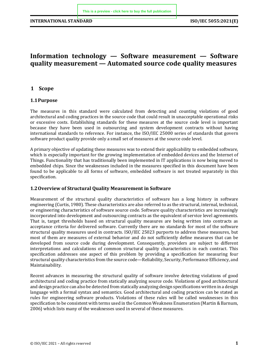## **Information technology — Software measurement — Software quality measurement — Automated source code quality measures**

#### <span id="page-12-0"></span>**1 Scope**

#### <span id="page-12-1"></span>**1.1Purpose**

The measures in this standard were calculated from detecting and counting violations of good architectural and coding practices in the source code that could result in unacceptable operational risks or excessive costs. Establishing standards for these measures at the source code level is important because they have been used in outsourcing and system development contracts without having international standards to reference. For instance, the ISO/IEC 25000 series of standards that govern software product quality provide only a small set of measures at the source code level.

A primary objective of updating these measures was to extend their applicability to embedded software, which is especially important for the growing implementation of embedded devices and the Internet of Things. Functionality that has traditionally been implemented in IT applications is now being moved to embedded chips. Since the weaknesses included in the measures specified in this document have been found to be applicable to all forms of software, embedded software is not treated separately in this specification.

#### <span id="page-12-2"></span>**1.2Overview of Structural Quality Measurement in Software**

Measurement of the structural quality characteristics of software has a long history in software engineering (Curtis, 1980). These characteristics are also referred to as the structural, internal, technical, or engineering characteristics of software source code. Software quality characteristics are increasingly incorporated into development and outsourcing contracts as the equivalent of service level agreements. That is, target thresholds based on structural quality measures are being written into contracts as acceptance criteria for delivered software. Currently there are no standards for most of the software structural quality measures used in contracts. ISO/IEC 25023 purports to address these measures, but most of them are measures of external behavior and do not sufficiently define measures that can be developed from source code during development. Consequently, providers are subject to different interpretations and calculations of common structural quality characteristics in each contract. This specification addresses one aspect of this problem by providing a specification for measuring four structural quality characteristics from the source code—Reliability, Security, Performance Efficiency, and Maintainability.

Recent advances in measuring the structural quality of software involve detecting violations of good architectural and coding practice from statically analyzing source code. Violations of good architectural and design practice can also be detected from statically analyzing design specifications written in a design language with a formal syntax and semantics. Good architectural and coding practices can be stated as rules for engineering software products. Violations of these rules will be called weaknesses in this specification to be consistent with terms used in the Common Weakness Enumeration (Martin & Barnum, 2006) which lists many of the weaknesses used in several of these measures.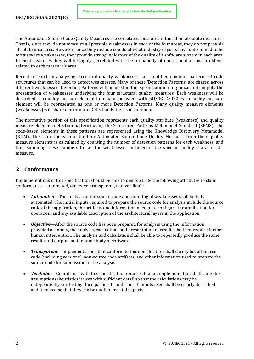#### **ISO/IEC 5055:2021(E)**

The Automated Source Code Quality Measures are correlated measures rather than absolute measures. That is, since they do not measure all possible weaknesses in each of the four areas, they do not provide absolute measures. However, since they include counts of what industry experts have determined to be most severe weaknesses, they provide strong indicators of the quality of a software system in each area. In most instances they will be highly correlated with the probability of operational or cost problems related to each measure's area.

Recent research in analyzing structural quality weaknesses has identified common patterns of code structures that can be used to detect weaknesses. Many of these 'Detection Patterns' are shared across different weaknesses. Detection Patterns will be used in this specification to organize and simplify the presentation of weaknesses underlying the four structural quality measures. Each weakness will be described as a quality measure element to remain consistent with ISO/IEC 25020. Each quality measure element will be represented as one or more Detection Patterns. Many quality measure elements (weaknesses) will share one or more Detection Patterns in common.

The normative portion of this specification represents each quality attribute (weakness) and quality measure element (detection pattern) using the Structured Patterns Metamodel Standard (SPMS). The code-based elements in these patterns are represented using the Knowledge Discovery Metamodel (KDM). The score for each of the four Automated Source Code Quality Measures from their quality measure elements is calculated by counting the number of detection patterns for each weakness, and then summing these numbers for all the weaknesses included in the specific quality characteristic measure.

#### <span id="page-13-0"></span>**2 Conformance**

Implementations of this specification should be able to demonstrate the following attributes to claim conformance—automated, objective, transparent, and verifiable.

- Automated—The analysis of the source code and counting of weaknesses shall be fully automated. The initial inputs required to prepare the source code for analysis include the source code of the application, the artifacts and information needed to configure the application for operation, and any available description of the architectural layers in the application.
- *Objective*—After the source code has been prepared for analysis using the information provided as inputs, the analysis, calculation, and presentation of results shall not require further human intervention. The analysis and calculation shall be able to repeatedly produce the same results and outputs on the same body of software.
- *Transparent*—Implementations that conform to this specification shall clearly list all source code (including versions), non-source code artifacts, and other information used to prepare the source code for submission to the analysis.
- *Verifiable*—Compliance with this specification requires that an implementation shall state the assumptions/heuristics it uses with sufficient detail so that the calculations may be independently verified by third parties. In addition, all inputs used shall be clearly described and itemized so that they can be audited by a third party.